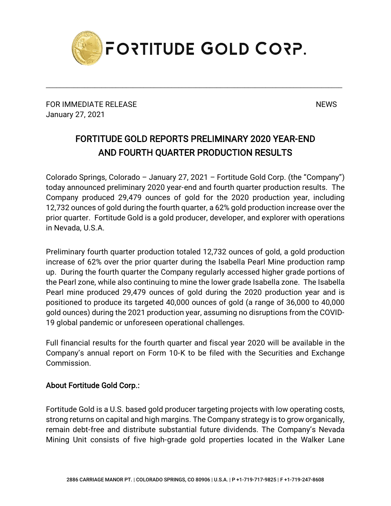

\_\_\_\_\_\_\_\_\_\_\_\_\_\_\_\_\_\_\_\_\_\_\_\_\_\_\_\_\_\_\_\_\_\_\_\_\_\_\_\_\_\_\_\_\_\_\_\_\_\_\_\_\_\_\_\_\_\_\_\_\_\_\_\_\_\_\_\_\_\_\_\_\_\_\_\_\_\_\_\_\_\_\_\_\_

FOR IMMEDIATE RELEASE NEWS SERVICE AND THE MESS OF THE SERVICE OF THE SERVICE OF THE SERVICE OF THE SERVICE OF THE SERVICE OF THE SERVICE OF THE SERVICE OF THE SERVICE OF THE SERVICE OF THE SERVICE OF THE SERVICE OF THE SE January 27, 2021

## FORTITUDE GOLD REPORTS PRELIMINARY 2020 YEAR-END AND FOURTH QUARTER PRODUCTION RESULTS

Colorado Springs, Colorado – January 27, 2021 – Fortitude Gold Corp. (the "Company") today announced preliminary 2020 year-end and fourth quarter production results. The Company produced 29,479 ounces of gold for the 2020 production year, including 12,732 ounces of gold during the fourth quarter, a 62% gold production increase over the prior quarter. Fortitude Gold is a gold producer, developer, and explorer with operations in Nevada, U.S.A.

Preliminary fourth quarter production totaled 12,732 ounces of gold, a gold production increase of 62% over the prior quarter during the Isabella Pearl Mine production ramp up. During the fourth quarter the Company regularly accessed higher grade portions of the Pearl zone, while also continuing to mine the lower grade Isabella zone. The Isabella Pearl mine produced 29,479 ounces of gold during the 2020 production year and is positioned to produce its targeted 40,000 ounces of gold (a range of 36,000 to 40,000 gold ounces) during the 2021 production year, assuming no disruptions from the COVID-19 global pandemic or unforeseen operational challenges.

Full financial results for the fourth quarter and fiscal year 2020 will be available in the Company's annual report on Form 10-K to be filed with the Securities and Exchange Commission.

## About Fortitude Gold Corp.:

Fortitude Gold is a U.S. based gold producer targeting projects with low operating costs, strong returns on capital and high margins. The Company strategy is to grow organically, remain debt-free and distribute substantial future dividends. The Company's Nevada Mining Unit consists of five high-grade gold properties located in the Walker Lane